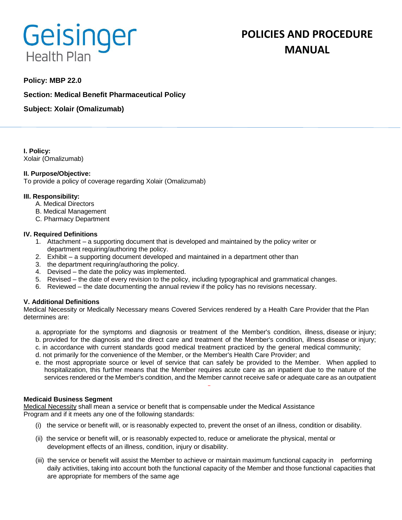# Geisinger **Health Plan**

# **POLICIES AND PROCEDURE MANUAL**

# **Policy: MBP 22.0**

**Section: Medical Benefit Pharmaceutical Policy**

**Subject: Xolair (Omalizumab)**

**I. Policy:** Xolair (Omalizumab)

# **II. Purpose/Objective:**

To provide a policy of coverage regarding Xolair (Omalizumab)

#### **III. Responsibility:**

- A. Medical Directors
- B. Medical Management
- C. Pharmacy Department

#### **IV. Required Definitions**

- 1. Attachment a supporting document that is developed and maintained by the policy writer or department requiring/authoring the policy.
- 2. Exhibit a supporting document developed and maintained in a department other than
- 3. the department requiring/authoring the policy.
- 4. Devised the date the policy was implemented.
- 5. Revised the date of every revision to the policy, including typographical and grammatical changes.
- 6. Reviewed the date documenting the annual review if the policy has no revisions necessary.

# **V. Additional Definitions**

Medical Necessity or Medically Necessary means Covered Services rendered by a Health Care Provider that the Plan determines are:

- a. appropriate for the symptoms and diagnosis or treatment of the Member's condition, illness, disease or injury;
- b. provided for the diagnosis and the direct care and treatment of the Member's condition, illness disease or injury;
- c. in accordance with current standards good medical treatment practiced by the general medical community;
- d. not primarily for the convenience of the Member, or the Member's Health Care Provider; and
- e. the most appropriate source or level of service that can safely be provided to the Member. When applied to hospitalization, this further means that the Member requires acute care as an inpatient due to the nature of the services rendered or the Member's condition, and the Member cannot receive safe or adequate care as an outpatient

#### **Medicaid Business Segment**

Medical Necessity shall mean a service or benefit that is compensable under the Medical Assistance Program and if it meets any one of the following standards:

- (i) the service or benefit will, or is reasonably expected to, prevent the onset of an illness, condition or disability.
- (ii) the service or benefit will, or is reasonably expected to, reduce or ameliorate the physical, mental or development effects of an illness, condition, injury or disability.
- (iii) the service or benefit will assist the Member to achieve or maintain maximum functional capacity in performing daily activities, taking into account both the functional capacity of the Member and those functional capacities that are appropriate for members of the same age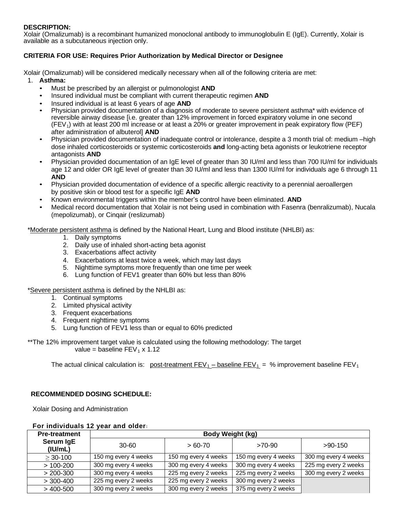# **DESCRIPTION:**

Xolair (Omalizumab) is a recombinant humanized monoclonal antibody to immunoglobulin E (IgE). Currently, Xolair is available as a subcutaneous injection only.

# **CRITERIA FOR USE: Requires Prior Authorization by Medical Director or Designee**

Xolair (Omalizumab) will be considered medically necessary when all of the following criteria are met:

- 1. **Asthma:**
	- Must be prescribed by an allergist or pulmonologist **AND**
	- Insured individual must be compliant with current therapeutic regimen **AND**
	- Insured individual is at least 6 years of age **AND**
	- Physician provided documentation of a diagnosis of moderate to severe persistent asthma\* with evidence of reversible airway disease [i.e. greater than 12% improvement in forced expiratory volume in one second (FEV1) with at least 200 ml increase or at least a 20% or greater improvement in peak expiratory flow (PEF) after administration of albuterol] **AND**
	- Physician provided documentation of inadequate control or intolerance, despite a 3 month trial of: medium –high dose inhaled corticosteroids or systemic corticosteroids **and** long-acting beta agonists or leukotriene receptor antagonists **AND**
	- Physician provided documentation of an IgE level of greater than 30 IU/ml and less than 700 IU/ml for individuals age 12 and older OR IgE level of greater than 30 IU/ml and less than 1300 IU/ml for individuals age 6 through 11 **AND**
	- Physician provided documentation of evidence of a specific allergic reactivity to a perennial aeroallergen by positive skin or blood test for a specific IgE **AND**
	- Known environmental triggers within the member's control have been eliminated. **AND**
	- Medical record documentation that Xolair is not being used in combination with Fasenra (benralizumab), Nucala (mepolizumab), or Cinqair (reslizumab)

\*Moderate persistent asthma is defined by the National Heart, Lung and Blood institute (NHLBI) as:

- 1. Daily symptoms
- 2. Daily use of inhaled short-acting beta agonist
- 3. Exacerbations affect activity
- 4. Exacerbations at least twice a week, which may last days
- 5. Nighttime symptoms more frequently than one time per week
- 6. Lung function of FEV1 greater than 60% but less than 80%

\*Severe persistent asthma is defined by the NHLBI as:

- 1. Continual symptoms
- 2. Limited physical activity
- 3. Frequent exacerbations
- 4. Frequent nighttime symptoms
- 5. Lung function of FEV1 less than or equal to 60% predicted

\*\*The 12% improvement target value is calculated using the following methodology: The target value = baseline  $FEV_1 \times 1.12$ 

The actual clinical calculation is: post-treatment  $FEV_1 - baseline FEV_1 = %$  improvement baseline  $FEV_1$ 

# **RECOMMENDED DOSING SCHEDULE:**

Xolair Dosing and Administration

| For individuals 12 year and older: |  |  |  |
|------------------------------------|--|--|--|
| .                                  |  |  |  |

| <b>Pre-treatment</b> | Body Weight (kg)     |                      |                      |                      |  |  |
|----------------------|----------------------|----------------------|----------------------|----------------------|--|--|
| Serum IgE<br>(IU/mL) | 30-60                | $>60-70$             | >70-90               | $>90-150$            |  |  |
| $>$ 30-100           | 150 mg every 4 weeks | 150 mg every 4 weeks | 150 mg every 4 weeks | 300 mg every 4 weeks |  |  |
| $>100-200$           | 300 mg every 4 weeks | 300 mg every 4 weeks | 300 mg every 4 weeks | 225 mg every 2 weeks |  |  |
| $> 200 - 300$        | 300 mg every 4 weeks | 225 mg every 2 weeks | 225 mg every 2 weeks | 300 mg every 2 weeks |  |  |
| $>$ 300-400          | 225 mg every 2 weeks | 225 mg every 2 weeks | 300 mg every 2 weeks |                      |  |  |
| $>$ 400-500          | 300 mg every 2 weeks | 300 mg every 2 weeks | 375 mg every 2 weeks |                      |  |  |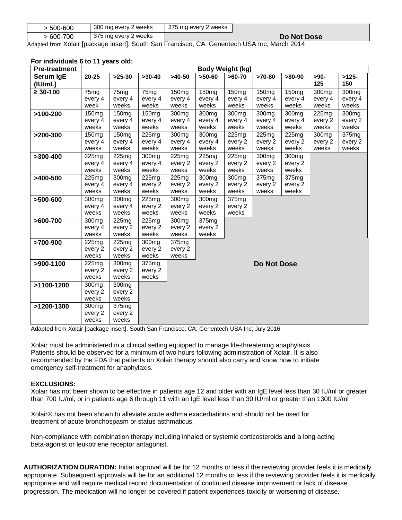| > 500-600  | 300 mg every 2 weeks                                                                               | 375 mg every 2 weeks |             |
|------------|----------------------------------------------------------------------------------------------------|----------------------|-------------|
| $>600-700$ | 375 mg every 2 weeks                                                                               |                      | Do Not Dose |
|            | $\lambda$ 1. 1. Valois Incoleons insent). Couth Can Essaciace, CA: Consented LICA Ins. Mosale 0044 |                      |             |

Adapted from Xolair [package insert]. South San Francisco, CA: Genentech USA Inc; March 2014

| <b>Pre-treatment</b> | Body Weight (kg)             |                              |                   |                              |                              |                   |                    |                   |                              |                     |
|----------------------|------------------------------|------------------------------|-------------------|------------------------------|------------------------------|-------------------|--------------------|-------------------|------------------------------|---------------------|
| Serum IgE            | $20 - 25$                    | $>25-30$                     | $>30-40$          | $>40-50$                     | $>50-60$                     | $>60-70$          | $>70-80$           | $>80-90$          | $>90-$                       | $>125-$             |
| (IU/mL)              |                              |                              |                   |                              |                              |                   |                    |                   | 125                          | 150                 |
| $\geq 30 - 100$      | 75 <sub>mg</sub>             | 75 <sub>mg</sub>             | 75 <sub>mg</sub>  | 150 <sub>mg</sub>            | 150 <sub>mg</sub>            | 150 <sub>mg</sub> | 150 <sub>mg</sub>  | 150 <sub>mg</sub> | 300 <sub>mg</sub>            | $\overline{300}$ mg |
|                      | every 4                      | every 4                      | every 4           | every 4                      | every 4                      | every 4           | every 4            | every 4           | every 4                      | every 4             |
|                      | week                         | weeks                        | weeks             | weeks                        | weeks                        | weeks             | weeks              | weeks             | weeks                        | weeks               |
| $>100-200$           | 150 <sub>mg</sub>            | 150 <sub>mg</sub>            | 150 <sub>mg</sub> | 300 <sub>mg</sub>            | 300 <sub>mg</sub>            | 300 <sub>mg</sub> | 300 <sub>mg</sub>  | 300 <sub>mg</sub> | 225mg                        | 300mg               |
|                      | every 4                      | every 4                      | every 4           | every 4                      | every 4                      | every 4           | every 4            | every 4           | every 2                      | every 2             |
|                      | weeks                        | weeks                        | weeks             | weeks                        | weeks                        | weeks             | weeks              | weeks             | weeks                        | weeks               |
| $>200-300$           | 150 <sub>mg</sub><br>every 4 | 150 <sub>mg</sub><br>every 4 | 225mg<br>every 4  | 300 <sub>mg</sub><br>every 4 | 300 <sub>mg</sub><br>every 4 | 225mg<br>every 2  | 225mg<br>every 2   | 225mg<br>every 2  | 300 <sub>mq</sub><br>every 2 | 375mg<br>every 2    |
|                      | weeks                        | weeks                        | weeks             | weeks                        | weeks                        | weeks             | weeks              | weeks             | weeks                        | weeks               |
| $>300-400$           | 225mg                        | 225mg                        | 300mg             | 225mg                        | 225mg                        | 225mg             | 300 <sub>mg</sub>  | 300mg             |                              |                     |
|                      | every 4                      | every 4                      | every 4           | every 2                      | every 2                      | every 2           | every 2            | every 2           |                              |                     |
|                      | weeks                        | weeks                        | weeks             | weeks                        | weeks                        | weeks             | weeks              | weeks             |                              |                     |
| $>400-500$           | 225mg                        | 300 <sub>mg</sub>            | 225mg             | 225mg                        | 300 <sub>mg</sub>            | 300mg             | 375mg              | 375mg             |                              |                     |
|                      | every 4                      | every 4                      | every 2           | every 2                      | every 2                      | every 2           | every 2            | every 2           |                              |                     |
|                      | weeks                        | weeks                        | weeks             | weeks                        | weeks                        | weeks             | weeks              | weeks             |                              |                     |
| $>500 - 600$         | 300 <sub>mg</sub>            | 300 <sub>mg</sub>            | 225mg             | 300mg                        | 300 <sub>mg</sub>            | 375mg             |                    |                   |                              |                     |
|                      | every 4                      | every 4                      | every 2           | every 2                      | every 2                      | every 2           |                    |                   |                              |                     |
|                      | weeks                        | weeks                        | weeks             | weeks                        | weeks                        | weeks             |                    |                   |                              |                     |
| $>600-700$           | 300mg                        | 225mg                        | 225mg             | 300 <sub>mg</sub>            | 375mg                        |                   |                    |                   |                              |                     |
|                      | every 4                      | every 2                      | every 2           | every 2                      | every 2                      |                   |                    |                   |                              |                     |
|                      | weeks                        | weeks                        | weeks             | weeks                        | weeks                        |                   |                    |                   |                              |                     |
| >700-900             | 225mg                        | 225mg                        | 300mg             | 375mg                        |                              |                   |                    |                   |                              |                     |
|                      | every 2<br>weeks             | every 2<br>weeks             | every 2<br>weeks  | every 2<br>weeks             |                              |                   |                    |                   |                              |                     |
| >900-1100            | 225mg                        | 300 <sub>mg</sub>            | 375mg             |                              |                              |                   |                    |                   |                              |                     |
|                      | every 2                      | every 2                      | every 2           |                              |                              |                   | <b>Do Not Dose</b> |                   |                              |                     |
|                      | weeks                        | weeks                        | weeks             |                              |                              |                   |                    |                   |                              |                     |
| >1100-1200           | 300 <sub>mg</sub>            | 300 <sub>mg</sub>            |                   |                              |                              |                   |                    |                   |                              |                     |
|                      | every 2                      | every 2                      |                   |                              |                              |                   |                    |                   |                              |                     |
|                      | weeks                        | weeks                        |                   |                              |                              |                   |                    |                   |                              |                     |
| >1200-1300           | 300 <sub>mg</sub>            | 375mg                        |                   |                              |                              |                   |                    |                   |                              |                     |
|                      | every 2                      | every 2                      |                   |                              |                              |                   |                    |                   |                              |                     |
|                      | weeks                        | weeks                        |                   |                              |                              |                   |                    |                   |                              |                     |

#### **For individuals 6 to 11 years old:**

Adapted from Xolair [package insert]. South San Francisco, CA: Genentech USA Inc; July 2016

Xolair must be administered in a clinical setting equipped to manage life-threatening anaphylaxis. Patients should be observed for a minimum of two hours following administration of Xolair. It is also recommended by the FDA that patients on Xolair therapy should also carry and know how to initiate emergency self-treatment for anaphylaxis.

#### **EXCLUSIONS:**

Xolair has not been shown to be effective in patients age 12 and older with an IgE level less than 30 IU/ml or greater than 700 IU/ml, or in patients age 6 through 11 with an IgE level less than 30 IU/ml or greater than 1300 IU/ml

Xolair® has not been shown to alleviate acute asthma exacerbations and should not be used for treatment of acute bronchospasm or status asthmaticus.

Non-compliance with combination therapy including inhaled or systemic corticosteroids **and** a long acting beta-agonist or leukotriene receptor antagonist.

**AUTHORIZATION DURATION:** Initial approval will be for 12 months or less if the reviewing provider feels it is medically appropriate. Subsequent approvals will be for an additional 12 months or less if the reviewing provider feels it is medically appropriate and will require medical record documentation of continued disease improvement or lack of disease progression. The medication will no longer be covered if patient experiences toxicity or worsening of disease.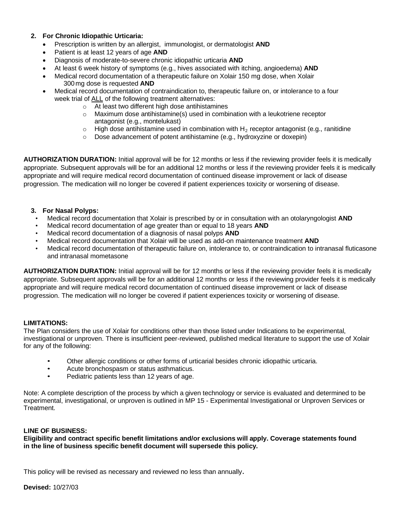# **2. For Chronic Idiopathic Urticaria:**

- Prescription is written by an allergist, immunologist, or dermatologist **AND**
- Patient is at least 12 years of age **AND**
- Diagnosis of moderate-to-severe chronic idiopathic urticaria **AND**
- At least 6 week history of symptoms (e.g., hives associated with itching, angioedema) **AND**
- Medical record documentation of a therapeutic failure on Xolair 150 mg dose, when Xolair 300mg dose is requested **AND**
- Medical record documentation of contraindication to, therapeutic failure on, or intolerance to a four week trial of ALL of the following treatment alternatives:
	- o At least two different high dose antihistamines
	- $\circ$  Maximum dose antihistamine(s) used in combination with a leukotriene receptor antagonist (e.g., montelukast)
	- $\circ$  High dose antihistamine used in combination with H<sub>2</sub> receptor antagonist (e.g., ranitidine
	- o Dose advancement of potent antihistamine (e.g., hydroxyzine or doxepin)

**AUTHORIZATION DURATION:** Initial approval will be for 12 months or less if the reviewing provider feels it is medically appropriate. Subsequent approvals will be for an additional 12 months or less if the reviewing provider feels it is medically appropriate and will require medical record documentation of continued disease improvement or lack of disease progression. The medication will no longer be covered if patient experiences toxicity or worsening of disease.

#### **3. For Nasal Polyps:**

- Medical record documentation that Xolair is prescribed by or in consultation with an otolaryngologist **AND**
- Medical record documentation of age greater than or equal to 18 years **AND**
- Medical record documentation of a diagnosis of nasal polyps **AND**
- Medical record documentation that Xolair will be used as add-on maintenance treatment **AND**
- Medical record documentation of therapeutic failure on, intolerance to, or contraindication to intranasal fluticasone and intranasal mometasone

**AUTHORIZATION DURATION:** Initial approval will be for 12 months or less if the reviewing provider feels it is medically appropriate. Subsequent approvals will be for an additional 12 months or less if the reviewing provider feels it is medically appropriate and will require medical record documentation of continued disease improvement or lack of disease progression. The medication will no longer be covered if patient experiences toxicity or worsening of disease.

# **LIMITATIONS:**

The Plan considers the use of Xolair for conditions other than those listed under Indications to be experimental, investigational or unproven. There is insufficient peer-reviewed, published medical literature to support the use of Xolair for any of the following:

- Other allergic conditions or other forms of urticarial besides chronic idiopathic urticaria.
- Acute bronchospasm or status asthmaticus.
- Pediatric patients less than 12 years of age.

Note: A complete description of the process by which a given technology or service is evaluated and determined to be experimental, investigational, or unproven is outlined in MP 15 - Experimental Investigational or Unproven Services or Treatment.

#### **LINE OF BUSINESS:**

**Eligibility and contract specific benefit limitations and/or exclusions will apply. Coverage statements found in the line of business specific benefit document will supersede this policy.**

This policy will be revised as necessary and reviewed no less than annually.